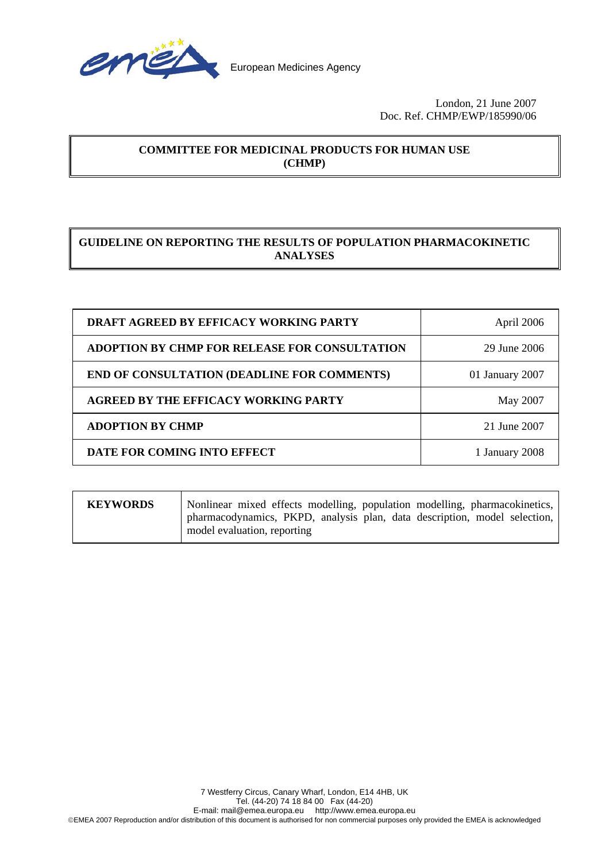

# **COMMITTEE FOR MEDICINAL PRODUCTS FOR HUMAN USE (CHMP)**

# **GUIDELINE ON REPORTING THE RESULTS OF POPULATION PHARMACOKINETIC ANALYSES**

| <b>DRAFT AGREED BY EFFICACY WORKING PARTY</b>      | April 2006      |
|----------------------------------------------------|-----------------|
| ADOPTION BY CHMP FOR RELEASE FOR CONSULTATION      | 29 June 2006    |
| <b>END OF CONSULTATION (DEADLINE FOR COMMENTS)</b> | 01 January 2007 |
| <b>AGREED BY THE EFFICACY WORKING PARTY</b>        | May 2007        |
| <b>ADOPTION BY CHMP</b>                            | 21 June 2007    |
| DATE FOR COMING INTO EFFECT                        | 1 January 2008  |

| <b>KEYWORDS</b> | Nonlinear mixed effects modelling, population modelling, pharmacokinetics, |
|-----------------|----------------------------------------------------------------------------|
|                 | pharmacodynamics, PKPD, analysis plan, data description, model selection,  |
|                 | model evaluation, reporting                                                |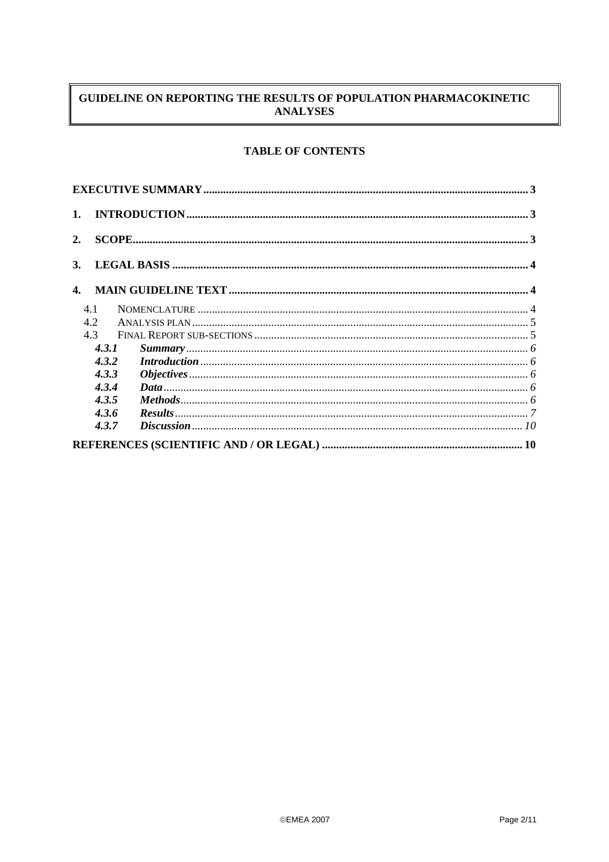# GUIDELINE ON REPORTING THE RESULTS OF POPULATION PHARMACOKINETIC **ANALYSES**

# **TABLE OF CONTENTS**

| 1.             |       |                                                                                                                                                                                                                                                                                                                                                                                                                                                                                                     |  |  |  |  |
|----------------|-------|-----------------------------------------------------------------------------------------------------------------------------------------------------------------------------------------------------------------------------------------------------------------------------------------------------------------------------------------------------------------------------------------------------------------------------------------------------------------------------------------------------|--|--|--|--|
| 2.             |       |                                                                                                                                                                                                                                                                                                                                                                                                                                                                                                     |  |  |  |  |
| 3.             |       |                                                                                                                                                                                                                                                                                                                                                                                                                                                                                                     |  |  |  |  |
| $\mathbf{4}$ . |       |                                                                                                                                                                                                                                                                                                                                                                                                                                                                                                     |  |  |  |  |
|                | 4.1   |                                                                                                                                                                                                                                                                                                                                                                                                                                                                                                     |  |  |  |  |
|                | 4.2   |                                                                                                                                                                                                                                                                                                                                                                                                                                                                                                     |  |  |  |  |
|                | 4.3   |                                                                                                                                                                                                                                                                                                                                                                                                                                                                                                     |  |  |  |  |
|                | 4.3.1 |                                                                                                                                                                                                                                                                                                                                                                                                                                                                                                     |  |  |  |  |
|                | 4.3.2 | $\emph{Introduction} \,\,{} \dots \,\,{} \dots \,\,{} \dots \,\,{} \dots \,\,{} \dots \,\,{} \dots \,\,{} \dots \,\,{} \dots \,\,{} \dots \,\,{} \dots \,\,{} \dots \,\,{} \dots \,\,{} \dots \,\,{} \dots \,\,{} \dots \,\,{} \dots \,\,{} \dots \,\,{} \dots \,\,{} \dots \,\,{} \dots \,\,{} \dots \,\,{} \dots \,\,{} \dots \,\,{} \dots \,\,{} \dots \,\,{} \dots \,\,{} \dots \,\,{} \dots \,\,{} \dots \,\,{} \dots \,\,{} \dots \,\,{} \dots \,\,{} \dots \,\,{} \dots \,\,{} \dots \,\,{}$ |  |  |  |  |
|                | 4.3.3 |                                                                                                                                                                                                                                                                                                                                                                                                                                                                                                     |  |  |  |  |
|                | 4.3.4 |                                                                                                                                                                                                                                                                                                                                                                                                                                                                                                     |  |  |  |  |
|                | 4.3.5 |                                                                                                                                                                                                                                                                                                                                                                                                                                                                                                     |  |  |  |  |
|                | 4.3.6 |                                                                                                                                                                                                                                                                                                                                                                                                                                                                                                     |  |  |  |  |
|                | 4.3.7 |                                                                                                                                                                                                                                                                                                                                                                                                                                                                                                     |  |  |  |  |
|                |       |                                                                                                                                                                                                                                                                                                                                                                                                                                                                                                     |  |  |  |  |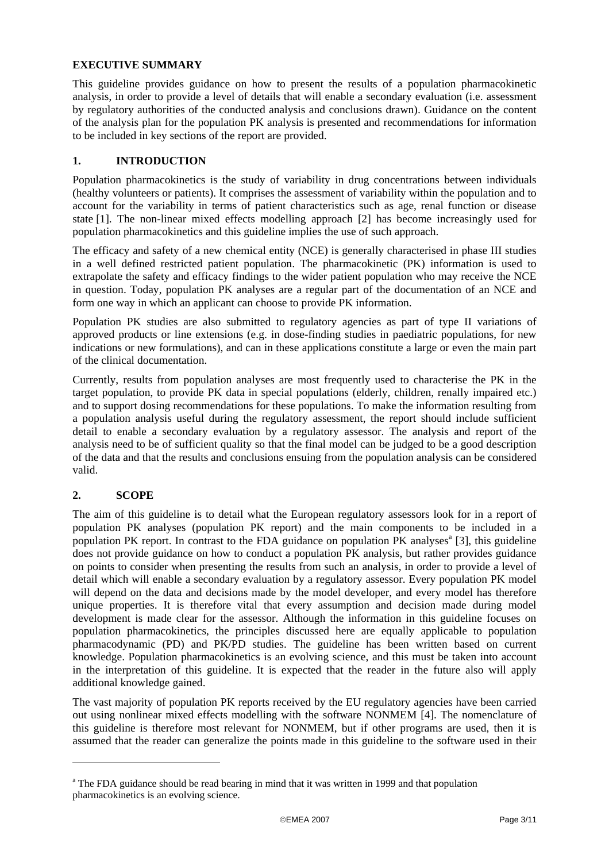## **EXECUTIVE SUMMARY**

This guideline provides guidance on how to present the results of a population pharmacokinetic analysis, in order to provide a level of details that will enable a secondary evaluation (i.e. assessment by regulatory authorities of the conducted analysis and conclusions drawn). Guidance on the content of the analysis plan for the population PK analysis is presented and recommendations for information to be included in key sections of the report are provided.

# **1. INTRODUCTION**

Population pharmacokinetics is the study of variability in drug concentrations between individuals (healthy volunteers or patients). It comprises the assessment of variability within the population and to account for the variability in terms of patient characteristics such as age, renal function or disease state [1]. The non-linear mixed effects modelling approach [2] has become increasingly used for population pharmacokinetics and this guideline implies the use of such approach.

The efficacy and safety of a new chemical entity (NCE) is generally characterised in phase III studies in a well defined restricted patient population. The pharmacokinetic (PK) information is used to extrapolate the safety and efficacy findings to the wider patient population who may receive the NCE in question. Today, population PK analyses are a regular part of the documentation of an NCE and form one way in which an applicant can choose to provide PK information.

Population PK studies are also submitted to regulatory agencies as part of type II variations of approved products or line extensions (e.g. in dose-finding studies in paediatric populations, for new indications or new formulations), and can in these applications constitute a large or even the main part of the clinical documentation.

Currently, results from population analyses are most frequently used to characterise the PK in the target population, to provide PK data in special populations (elderly, children, renally impaired etc.) and to support dosing recommendations for these populations. To make the information resulting from a population analysis useful during the regulatory assessment, the report should include sufficient detail to enable a secondary evaluation by a regulatory assessor. The analysis and report of the analysis need to be of sufficient quality so that the final model can be judged to be a good description of the data and that the results and conclusions ensuing from the population analysis can be considered valid.

# **2. SCOPE**

l

The aim of this guideline is to detail what the European regulatory assessors look for in a report of population PK analyses (population PK report) and the main components to be included in a population PK report. In contrast to the FDA guidance on population PK analyses<sup>a</sup> [3], this guideline does not provide guidance on how to conduct a population PK analysis, but rather provides guidance on points to consider when presenting the results from such an analysis, in order to provide a level of detail which will enable a secondary evaluation by a regulatory assessor. Every population PK model will depend on the data and decisions made by the model developer, and every model has therefore unique properties. It is therefore vital that every assumption and decision made during model development is made clear for the assessor. Although the information in this guideline focuses on population pharmacokinetics, the principles discussed here are equally applicable to population pharmacodynamic (PD) and PK/PD studies. The guideline has been written based on current knowledge. Population pharmacokinetics is an evolving science, and this must be taken into account in the interpretation of this guideline. It is expected that the reader in the future also will apply additional knowledge gained.

The vast majority of population PK reports received by the EU regulatory agencies have been carried out using nonlinear mixed effects modelling with the software NONMEM [4]. The nomenclature of this guideline is therefore most relevant for NONMEM, but if other programs are used, then it is assumed that the reader can generalize the points made in this guideline to the software used in their

<sup>&</sup>lt;sup>a</sup> The FDA guidance should be read bearing in mind that it was written in 1999 and that population pharmacokinetics is an evolving science.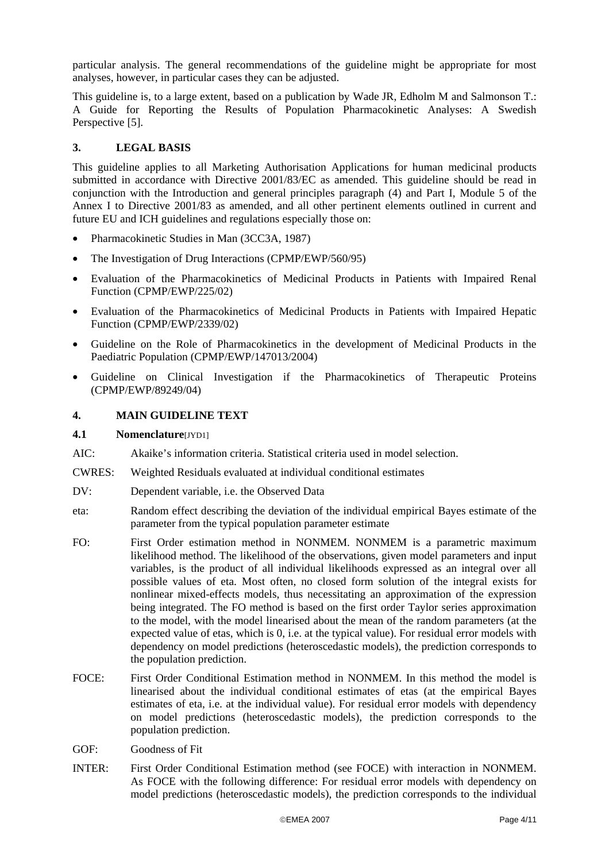particular analysis. The general recommendations of the guideline might be appropriate for most analyses, however, in particular cases they can be adjusted.

This guideline is, to a large extent, based on a publication by Wade JR, Edholm M and Salmonson T.: A Guide for Reporting the Results of Population Pharmacokinetic Analyses: A Swedish Perspective [5].

## **3. LEGAL BASIS**

This guideline applies to all Marketing Authorisation Applications for human medicinal products submitted in accordance with Directive 2001/83/EC as amended. This guideline should be read in conjunction with the Introduction and general principles paragraph (4) and Part I, Module 5 of the Annex I to Directive 2001/83 as amended, and all other pertinent elements outlined in current and future EU and ICH guidelines and regulations especially those on:

- Pharmacokinetic Studies in Man (3CC3A, 1987)
- The Investigation of Drug Interactions (CPMP/EWP/560/95)
- Evaluation of the Pharmacokinetics of Medicinal Products in Patients with Impaired Renal Function (CPMP/EWP/225/02)
- Evaluation of the Pharmacokinetics of Medicinal Products in Patients with Impaired Hepatic Function (CPMP/EWP/2339/02)
- Guideline on the Role of Pharmacokinetics in the development of Medicinal Products in the Paediatric Population (CPMP/EWP/147013/2004)
- Guideline on Clinical Investigation if the Pharmacokinetics of Therapeutic Proteins (CPMP/EWP/89249/04)

## **4. MAIN GUIDELINE TEXT**

## **4.1 Nomenclature**[JYD1]

- AIC: Akaike's information criteria. Statistical criteria used in model selection.
- CWRES: Weighted Residuals evaluated at individual conditional estimates
- DV: Dependent variable, i.e. the Observed Data
- eta: Random effect describing the deviation of the individual empirical Bayes estimate of the parameter from the typical population parameter estimate
- FO: First Order estimation method in NONMEM. NONMEM is a parametric maximum likelihood method. The likelihood of the observations, given model parameters and input variables, is the product of all individual likelihoods expressed as an integral over all possible values of eta. Most often, no closed form solution of the integral exists for nonlinear mixed-effects models, thus necessitating an approximation of the expression being integrated. The FO method is based on the first order Taylor series approximation to the model, with the model linearised about the mean of the random parameters (at the expected value of etas, which is 0, i.e. at the typical value). For residual error models with dependency on model predictions (heteroscedastic models), the prediction corresponds to the population prediction.
- FOCE: First Order Conditional Estimation method in NONMEM. In this method the model is linearised about the individual conditional estimates of etas (at the empirical Bayes estimates of eta, i.e. at the individual value). For residual error models with dependency on model predictions (heteroscedastic models), the prediction corresponds to the population prediction.
- GOF: Goodness of Fit
- INTER: First Order Conditional Estimation method (see FOCE) with interaction in NONMEM. As FOCE with the following difference: For residual error models with dependency on model predictions (heteroscedastic models), the prediction corresponds to the individual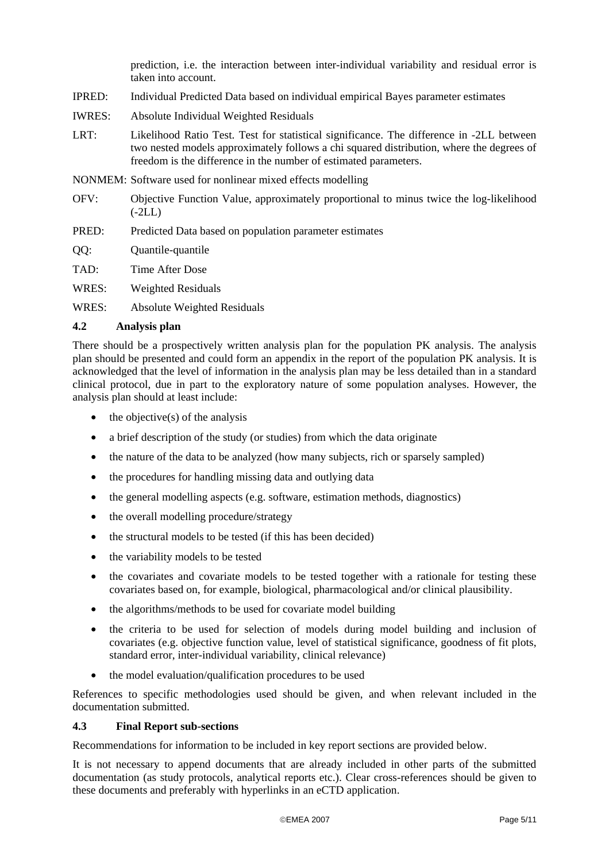prediction, i.e. the interaction between inter-individual variability and residual error is taken into account.

- IPRED: Individual Predicted Data based on individual empirical Bayes parameter estimates
- IWRES: Absolute Individual Weighted Residuals
- LRT: Likelihood Ratio Test. Test for statistical significance. The difference in -2LL between two nested models approximately follows a chi squared distribution, where the degrees of freedom is the difference in the number of estimated parameters.
- NONMEM: Software used for nonlinear mixed effects modelling
- OFV: Objective Function Value, approximately proportional to minus twice the log-likelihood (-2LL)
- PRED: Predicted Data based on population parameter estimates
- QQ: Quantile-quantile
- TAD: Time After Dose
- WRES: Weighted Residuals
- WRES: Absolute Weighted Residuals

## **4.2 Analysis plan**

There should be a prospectively written analysis plan for the population PK analysis. The analysis plan should be presented and could form an appendix in the report of the population PK analysis. It is acknowledged that the level of information in the analysis plan may be less detailed than in a standard clinical protocol, due in part to the exploratory nature of some population analyses. However, the analysis plan should at least include:

- $\bullet$  the objective(s) of the analysis
- a brief description of the study (or studies) from which the data originate
- the nature of the data to be analyzed (how many subjects, rich or sparsely sampled)
- the procedures for handling missing data and outlying data
- the general modelling aspects (e.g. software, estimation methods, diagnostics)
- the overall modelling procedure/strategy
- the structural models to be tested (if this has been decided)
- the variability models to be tested
- the covariates and covariate models to be tested together with a rationale for testing these covariates based on, for example, biological, pharmacological and/or clinical plausibility.
- the algorithms/methods to be used for covariate model building
- the criteria to be used for selection of models during model building and inclusion of covariates (e.g. objective function value, level of statistical significance, goodness of fit plots, standard error, inter-individual variability, clinical relevance)
- the model evaluation/qualification procedures to be used

References to specific methodologies used should be given, and when relevant included in the documentation submitted.

## **4.3 Final Report sub-sections**

Recommendations for information to be included in key report sections are provided below.

It is not necessary to append documents that are already included in other parts of the submitted documentation (as study protocols, analytical reports etc.). Clear cross-references should be given to these documents and preferably with hyperlinks in an eCTD application.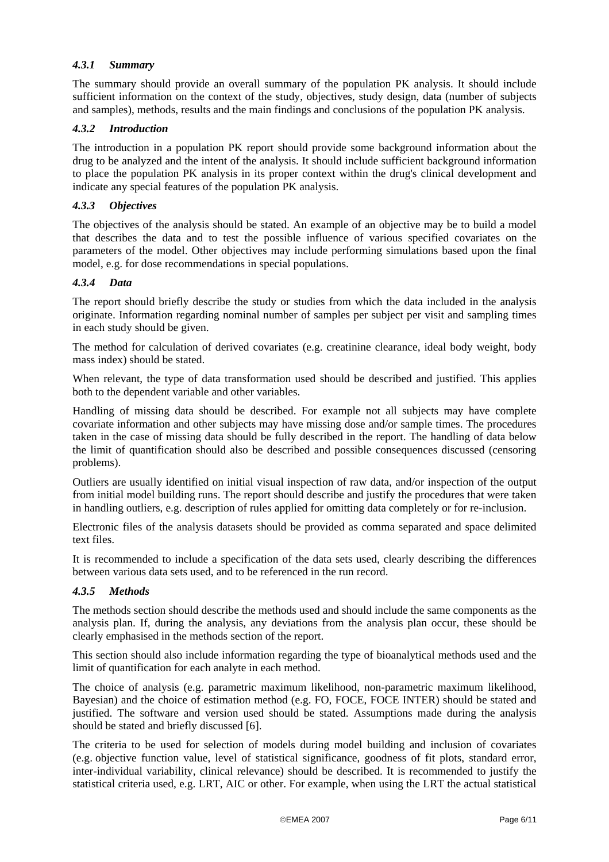# *4.3.1 Summary*

The summary should provide an overall summary of the population PK analysis. It should include sufficient information on the context of the study, objectives, study design, data (number of subjects and samples), methods, results and the main findings and conclusions of the population PK analysis.

## *4.3.2 Introduction*

The introduction in a population PK report should provide some background information about the drug to be analyzed and the intent of the analysis. It should include sufficient background information to place the population PK analysis in its proper context within the drug's clinical development and indicate any special features of the population PK analysis.

## *4.3.3 Objectives*

The objectives of the analysis should be stated. An example of an objective may be to build a model that describes the data and to test the possible influence of various specified covariates on the parameters of the model. Other objectives may include performing simulations based upon the final model, e.g. for dose recommendations in special populations.

## *4.3.4 Data*

The report should briefly describe the study or studies from which the data included in the analysis originate. Information regarding nominal number of samples per subject per visit and sampling times in each study should be given.

The method for calculation of derived covariates (e.g. creatinine clearance, ideal body weight, body mass index) should be stated.

When relevant, the type of data transformation used should be described and justified. This applies both to the dependent variable and other variables.

Handling of missing data should be described. For example not all subjects may have complete covariate information and other subjects may have missing dose and/or sample times. The procedures taken in the case of missing data should be fully described in the report. The handling of data below the limit of quantification should also be described and possible consequences discussed (censoring problems).

Outliers are usually identified on initial visual inspection of raw data, and/or inspection of the output from initial model building runs. The report should describe and justify the procedures that were taken in handling outliers, e.g. description of rules applied for omitting data completely or for re-inclusion.

Electronic files of the analysis datasets should be provided as comma separated and space delimited text files.

It is recommended to include a specification of the data sets used, clearly describing the differences between various data sets used, and to be referenced in the run record.

# *4.3.5 Methods*

The methods section should describe the methods used and should include the same components as the analysis plan. If, during the analysis, any deviations from the analysis plan occur, these should be clearly emphasised in the methods section of the report.

This section should also include information regarding the type of bioanalytical methods used and the limit of quantification for each analyte in each method.

The choice of analysis (e.g. parametric maximum likelihood, non-parametric maximum likelihood, Bayesian) and the choice of estimation method (e.g. FO, FOCE, FOCE INTER) should be stated and justified. The software and version used should be stated. Assumptions made during the analysis should be stated and briefly discussed [6].

The criteria to be used for selection of models during model building and inclusion of covariates (e.g. objective function value, level of statistical significance, goodness of fit plots, standard error, inter-individual variability, clinical relevance) should be described. It is recommended to justify the statistical criteria used, e.g. LRT, AIC or other. For example, when using the LRT the actual statistical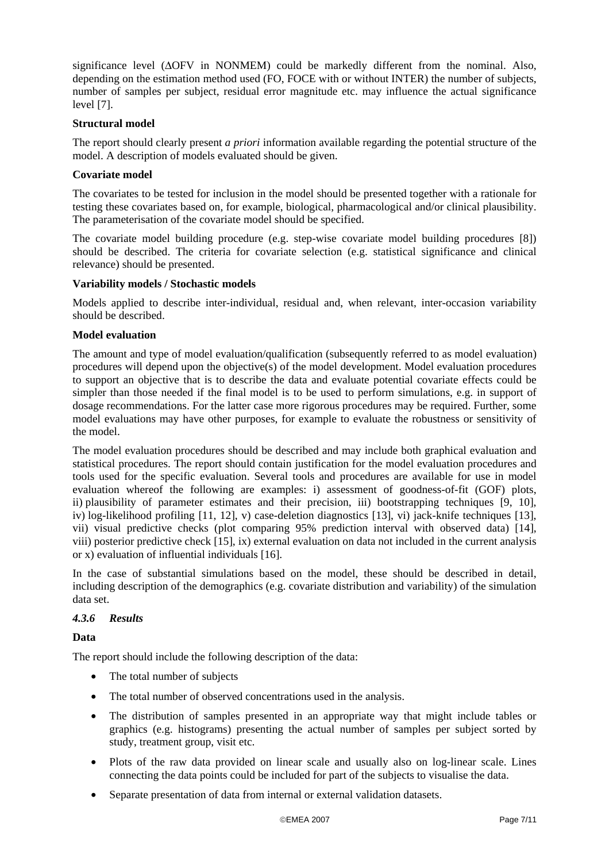significance level (∆OFV in NONMEM) could be markedly different from the nominal. Also, depending on the estimation method used (FO, FOCE with or without INTER) the number of subjects, number of samples per subject, residual error magnitude etc. may influence the actual significance level [7].

## **Structural model**

The report should clearly present *a priori* information available regarding the potential structure of the model. A description of models evaluated should be given.

## **Covariate model**

The covariates to be tested for inclusion in the model should be presented together with a rationale for testing these covariates based on, for example, biological, pharmacological and/or clinical plausibility. The parameterisation of the covariate model should be specified.

The covariate model building procedure (e.g. step-wise covariate model building procedures [8]) should be described. The criteria for covariate selection (e.g. statistical significance and clinical relevance) should be presented.

## **Variability models / Stochastic models**

Models applied to describe inter-individual, residual and, when relevant, inter-occasion variability should be described.

## **Model evaluation**

The amount and type of model evaluation/qualification (subsequently referred to as model evaluation) procedures will depend upon the objective(s) of the model development. Model evaluation procedures to support an objective that is to describe the data and evaluate potential covariate effects could be simpler than those needed if the final model is to be used to perform simulations, e.g. in support of dosage recommendations. For the latter case more rigorous procedures may be required. Further, some model evaluations may have other purposes, for example to evaluate the robustness or sensitivity of the model.

The model evaluation procedures should be described and may include both graphical evaluation and statistical procedures. The report should contain justification for the model evaluation procedures and tools used for the specific evaluation. Several tools and procedures are available for use in model evaluation whereof the following are examples: i) assessment of goodness-of-fit (GOF) plots, ii) plausibility of parameter estimates and their precision, iii) bootstrapping techniques [9, 10], iv) log-likelihood profiling [11, 12], v) case-deletion diagnostics [13], vi) jack-knife techniques [13], vii) visual predictive checks (plot comparing 95% prediction interval with observed data) [14], viii) posterior predictive check [15], ix) external evaluation on data not included in the current analysis or x) evaluation of influential individuals [16].

In the case of substantial simulations based on the model, these should be described in detail, including description of the demographics (e.g. covariate distribution and variability) of the simulation data set.

## *4.3.6 Results*

**Data** 

The report should include the following description of the data:

- The total number of subjects
- The total number of observed concentrations used in the analysis.
- The distribution of samples presented in an appropriate way that might include tables or graphics (e.g. histograms) presenting the actual number of samples per subject sorted by study, treatment group, visit etc.
- Plots of the raw data provided on linear scale and usually also on log-linear scale. Lines connecting the data points could be included for part of the subjects to visualise the data.
- Separate presentation of data from internal or external validation datasets.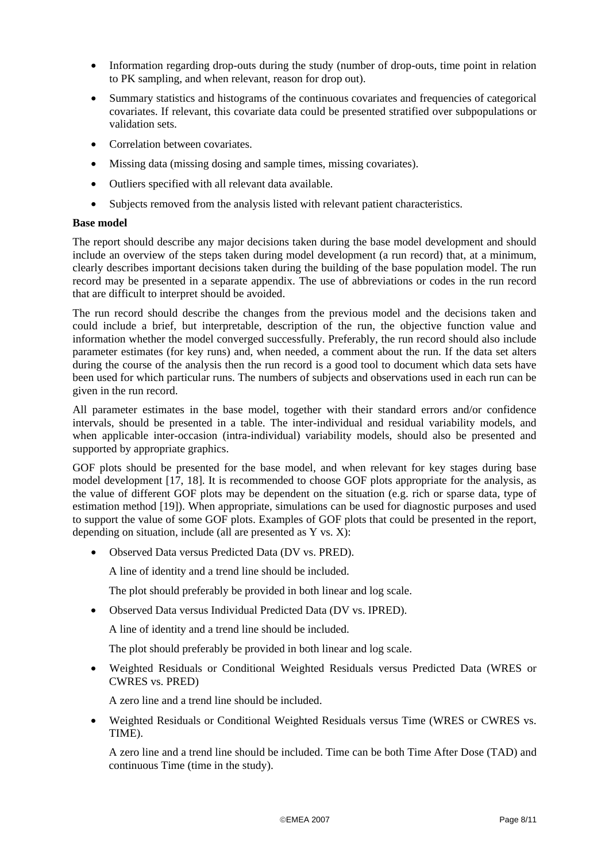- Information regarding drop-outs during the study (number of drop-outs, time point in relation to PK sampling, and when relevant, reason for drop out).
- Summary statistics and histograms of the continuous covariates and frequencies of categorical covariates. If relevant, this covariate data could be presented stratified over subpopulations or validation sets.
- Correlation between covariates.
- Missing data (missing dosing and sample times, missing covariates).
- Outliers specified with all relevant data available.
- Subjects removed from the analysis listed with relevant patient characteristics.

## **Base model**

The report should describe any major decisions taken during the base model development and should include an overview of the steps taken during model development (a run record) that, at a minimum, clearly describes important decisions taken during the building of the base population model. The run record may be presented in a separate appendix. The use of abbreviations or codes in the run record that are difficult to interpret should be avoided.

The run record should describe the changes from the previous model and the decisions taken and could include a brief, but interpretable, description of the run, the objective function value and information whether the model converged successfully. Preferably, the run record should also include parameter estimates (for key runs) and, when needed, a comment about the run. If the data set alters during the course of the analysis then the run record is a good tool to document which data sets have been used for which particular runs. The numbers of subjects and observations used in each run can be given in the run record.

All parameter estimates in the base model, together with their standard errors and/or confidence intervals, should be presented in a table. The inter-individual and residual variability models, and when applicable inter-occasion (intra-individual) variability models, should also be presented and supported by appropriate graphics.

GOF plots should be presented for the base model, and when relevant for key stages during base model development [17, 18]. It is recommended to choose GOF plots appropriate for the analysis, as the value of different GOF plots may be dependent on the situation (e.g. rich or sparse data, type of estimation method [19]). When appropriate, simulations can be used for diagnostic purposes and used to support the value of some GOF plots. Examples of GOF plots that could be presented in the report, depending on situation, include (all are presented as Y vs. X):

• Observed Data versus Predicted Data (DV vs. PRED).

A line of identity and a trend line should be included.

The plot should preferably be provided in both linear and log scale.

• Observed Data versus Individual Predicted Data (DV vs. IPRED).

A line of identity and a trend line should be included.

The plot should preferably be provided in both linear and log scale.

• Weighted Residuals or Conditional Weighted Residuals versus Predicted Data (WRES or CWRES vs. PRED)

A zero line and a trend line should be included.

• Weighted Residuals or Conditional Weighted Residuals versus Time (WRES or CWRES vs. TIME).

A zero line and a trend line should be included. Time can be both Time After Dose (TAD) and continuous Time (time in the study).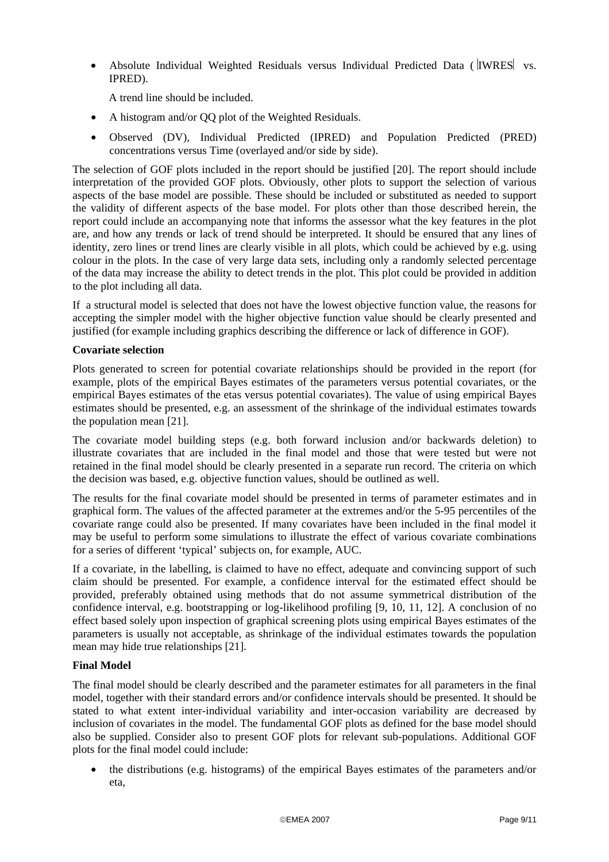• Absolute Individual Weighted Residuals versus Individual Predicted Data (  $|IWRES|$  vs. IPRED).

A trend line should be included.

- A histogram and/or QQ plot of the Weighted Residuals.
- Observed (DV), Individual Predicted (IPRED) and Population Predicted (PRED) concentrations versus Time (overlayed and/or side by side).

The selection of GOF plots included in the report should be justified [20]. The report should include interpretation of the provided GOF plots. Obviously, other plots to support the selection of various aspects of the base model are possible. These should be included or substituted as needed to support the validity of different aspects of the base model. For plots other than those described herein, the report could include an accompanying note that informs the assessor what the key features in the plot are, and how any trends or lack of trend should be interpreted. It should be ensured that any lines of identity, zero lines or trend lines are clearly visible in all plots, which could be achieved by e.g. using colour in the plots. In the case of very large data sets, including only a randomly selected percentage of the data may increase the ability to detect trends in the plot. This plot could be provided in addition to the plot including all data.

If a structural model is selected that does not have the lowest objective function value, the reasons for accepting the simpler model with the higher objective function value should be clearly presented and justified (for example including graphics describing the difference or lack of difference in GOF).

## **Covariate selection**

Plots generated to screen for potential covariate relationships should be provided in the report (for example, plots of the empirical Bayes estimates of the parameters versus potential covariates, or the empirical Bayes estimates of the etas versus potential covariates). The value of using empirical Bayes estimates should be presented, e.g. an assessment of the shrinkage of the individual estimates towards the population mean [21].

The covariate model building steps (e.g. both forward inclusion and/or backwards deletion) to illustrate covariates that are included in the final model and those that were tested but were not retained in the final model should be clearly presented in a separate run record. The criteria on which the decision was based, e.g. objective function values, should be outlined as well.

The results for the final covariate model should be presented in terms of parameter estimates and in graphical form. The values of the affected parameter at the extremes and/or the 5-95 percentiles of the covariate range could also be presented. If many covariates have been included in the final model it may be useful to perform some simulations to illustrate the effect of various covariate combinations for a series of different 'typical' subjects on, for example, AUC.

If a covariate, in the labelling, is claimed to have no effect, adequate and convincing support of such claim should be presented. For example, a confidence interval for the estimated effect should be provided, preferably obtained using methods that do not assume symmetrical distribution of the confidence interval, e.g. bootstrapping or log-likelihood profiling [9, 10, 11, 12]. A conclusion of no effect based solely upon inspection of graphical screening plots using empirical Bayes estimates of the parameters is usually not acceptable, as shrinkage of the individual estimates towards the population mean may hide true relationships [21].

## **Final Model**

The final model should be clearly described and the parameter estimates for all parameters in the final model, together with their standard errors and/or confidence intervals should be presented. It should be stated to what extent inter-individual variability and inter-occasion variability are decreased by inclusion of covariates in the model. The fundamental GOF plots as defined for the base model should also be supplied. Consider also to present GOF plots for relevant sub-populations. Additional GOF plots for the final model could include:

• the distributions (e.g. histograms) of the empirical Bayes estimates of the parameters and/or eta,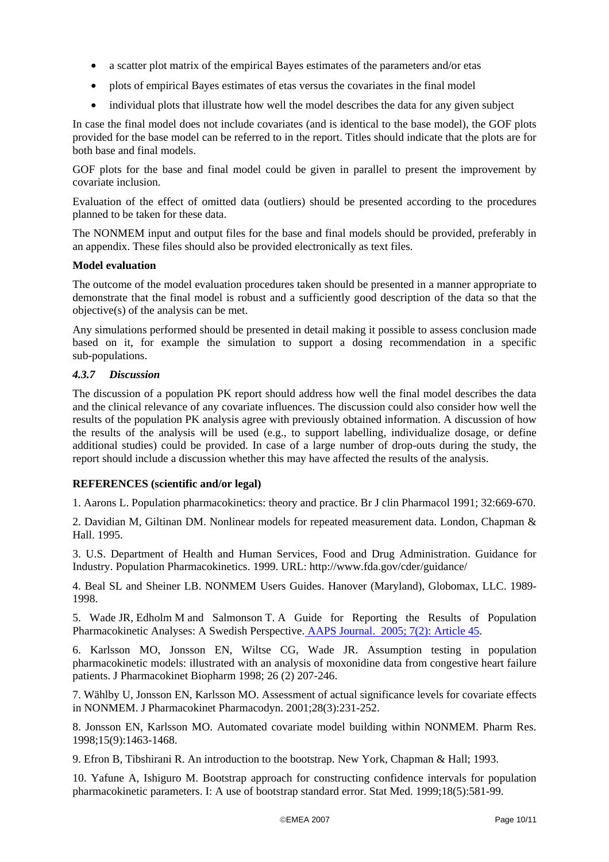- a scatter plot matrix of the empirical Bayes estimates of the parameters and/or etas
- plots of empirical Bayes estimates of etas versus the covariates in the final model
- individual plots that illustrate how well the model describes the data for any given subject

In case the final model does not include covariates (and is identical to the base model), the GOF plots provided for the base model can be referred to in the report. Titles should indicate that the plots are for both base and final models.

GOF plots for the base and final model could be given in parallel to present the improvement by covariate inclusion.

Evaluation of the effect of omitted data (outliers) should be presented according to the procedures planned to be taken for these data.

The NONMEM input and output files for the base and final models should be provided, preferably in an appendix. These files should also be provided electronically as text files.

## **Model evaluation**

The outcome of the model evaluation procedures taken should be presented in a manner appropriate to demonstrate that the final model is robust and a sufficiently good description of the data so that the objective(s) of the analysis can be met.

Any simulations performed should be presented in detail making it possible to assess conclusion made based on it, for example the simulation to support a dosing recommendation in a specific sub-populations.

#### *4.3.7 Discussion*

The discussion of a population PK report should address how well the final model describes the data and the clinical relevance of any covariate influences. The discussion could also consider how well the results of the population PK analysis agree with previously obtained information. A discussion of how the results of the analysis will be used (e.g., to support labelling, individualize dosage, or define additional studies) could be provided. In case of a large number of drop-outs during the study, the report should include a discussion whether this may have affected the results of the analysis.

## **REFERENCES (scientific and/or legal)**

1. Aarons L. Population pharmacokinetics: theory and practice. Br J clin Pharmacol 1991; 32:669-670.

2. Davidian M, Giltinan DM. Nonlinear models for repeated measurement data. London, Chapman & Hall. 1995.

3. U.S. Department of Health and Human Services, Food and Drug Administration. Guidance for Industry. Population Pharmacokinetics. 1999. URL: http://www.fda.gov/cder/guidance/

4. Beal SL and Sheiner LB. NONMEM Users Guides. Hanover (Maryland), Globomax, LLC. 1989- 1998.

5. Wade JR, Edholm M and Salmonson T. A Guide for Reporting the Results of Population Pharmacokinetic Analyses: A Swedish Perspective. AAPS Journal. 2005; 7(2): Article 45.

6. Karlsson MO, Jonsson EN, Wiltse CG, Wade JR. Assumption testing in population pharmacokinetic models: illustrated with an analysis of moxonidine data from congestive heart failure patients. J Pharmacokinet Biopharm 1998; 26 (2) 207-246.

7. Wählby U, Jonsson EN, Karlsson MO. Assessment of actual significance levels for covariate effects in NONMEM. J Pharmacokinet Pharmacodyn. 2001;28(3):231-252.

8. Jonsson EN, Karlsson MO. Automated covariate model building within NONMEM. Pharm Res. 1998;15(9):1463-1468.

9. Efron B, Tibshirani R. An introduction to the bootstrap. New York, Chapman & Hall; 1993.

10. Yafune A, Ishiguro M. Bootstrap approach for constructing confidence intervals for population pharmacokinetic parameters. I: A use of bootstrap standard error. Stat Med. 1999;18(5):581-99.